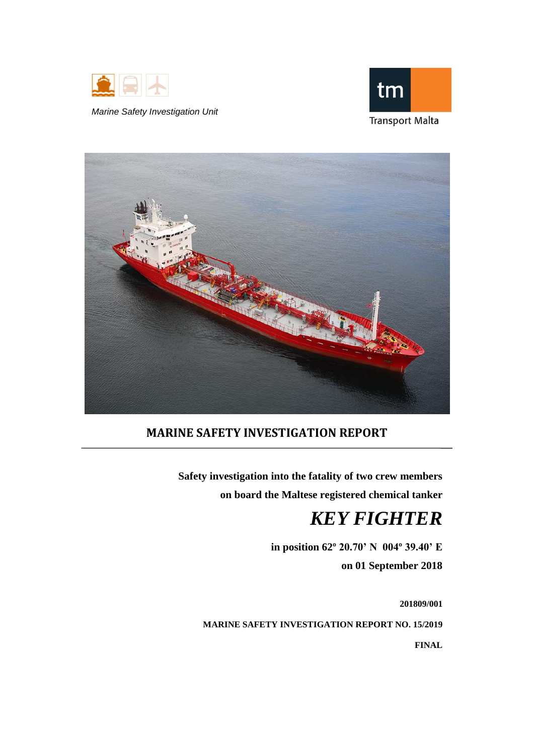

*Marine Safety Investigation Unit*





# **MARINE SAFETY INVESTIGATION REPORT**

**Safety investigation into the fatality of two crew members on board the Maltese registered chemical tanker**

# *KEY FIGHTER*

**in position 62º 20.70' N 004º 39.40' E on 01 September 2018**

**201809/001 MARINE SAFETY INVESTIGATION REPORT NO. 15/2019**

**FINAL**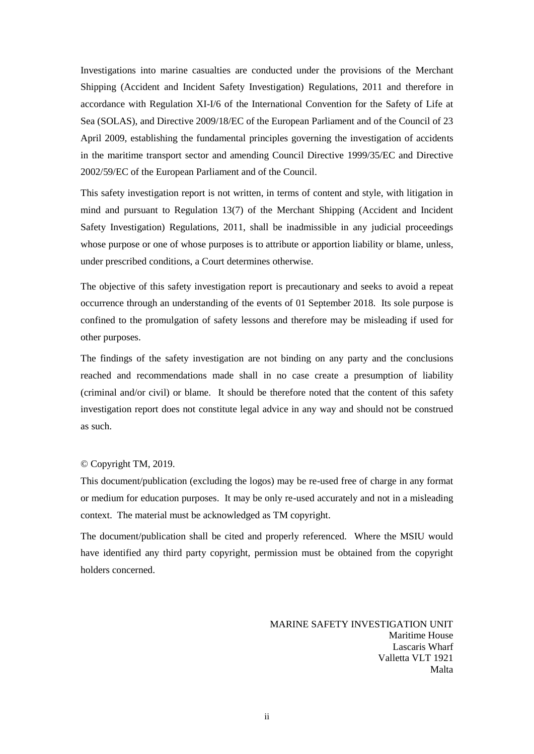Investigations into marine casualties are conducted under the provisions of the Merchant Shipping (Accident and Incident Safety Investigation) Regulations, 2011 and therefore in accordance with Regulation XI-I/6 of the International Convention for the Safety of Life at Sea (SOLAS), and Directive 2009/18/EC of the European Parliament and of the Council of 23 April 2009, establishing the fundamental principles governing the investigation of accidents in the maritime transport sector and amending Council Directive 1999/35/EC and Directive 2002/59/EC of the European Parliament and of the Council.

This safety investigation report is not written, in terms of content and style, with litigation in mind and pursuant to Regulation 13(7) of the Merchant Shipping (Accident and Incident Safety Investigation) Regulations, 2011, shall be inadmissible in any judicial proceedings whose purpose or one of whose purposes is to attribute or apportion liability or blame, unless, under prescribed conditions, a Court determines otherwise.

The objective of this safety investigation report is precautionary and seeks to avoid a repeat occurrence through an understanding of the events of 01 September 2018. Its sole purpose is confined to the promulgation of safety lessons and therefore may be misleading if used for other purposes.

The findings of the safety investigation are not binding on any party and the conclusions reached and recommendations made shall in no case create a presumption of liability (criminal and/or civil) or blame. It should be therefore noted that the content of this safety investigation report does not constitute legal advice in any way and should not be construed as such.

#### © Copyright TM, 2019.

This document/publication (excluding the logos) may be re-used free of charge in any format or medium for education purposes. It may be only re-used accurately and not in a misleading context. The material must be acknowledged as TM copyright.

The document/publication shall be cited and properly referenced. Where the MSIU would have identified any third party copyright, permission must be obtained from the copyright holders concerned.

> MARINE SAFETY INVESTIGATION UNIT Maritime House Lascaris Wharf Valletta VLT 1921 Malta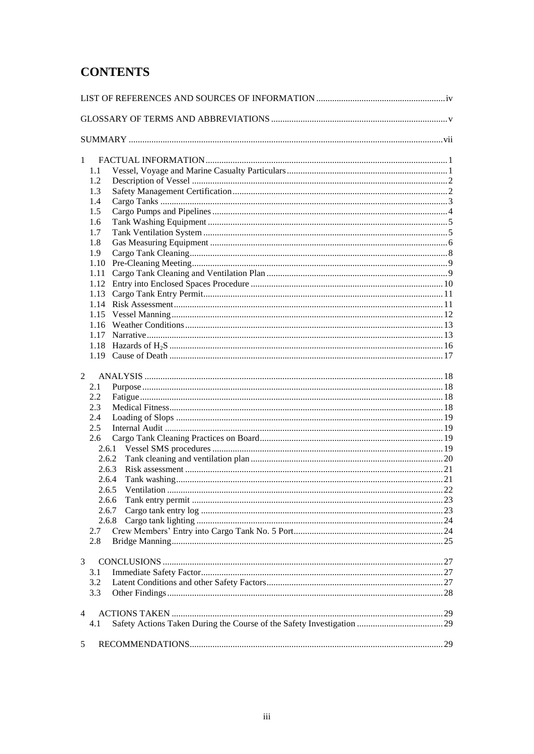# **CONTENTS**

| 1          |  |
|------------|--|
| 1.1        |  |
| 1.2<br>1.3 |  |
| 1.4        |  |
| 1.5        |  |
| 1.6        |  |
| 1.7        |  |
| 1.8        |  |
| 1.9        |  |
| 1.10       |  |
| 1.11       |  |
| 1.12       |  |
| 1.13       |  |
| 1.14       |  |
|            |  |
|            |  |
|            |  |
|            |  |
|            |  |
|            |  |
| 2          |  |
| 2.1        |  |
| 2.2        |  |
| 2.3        |  |
| 2.4        |  |
| 2.5        |  |
| 2.6        |  |
|            |  |
|            |  |
| 2.6.3      |  |
| 2.6.4      |  |
| 2.6.5      |  |
| 2.6.6      |  |
| 2.6.7      |  |
|            |  |
| 2.7        |  |
| 2.8        |  |
| 3          |  |
| 3.1        |  |
| 3.2        |  |
| 3.3        |  |
|            |  |
| 4          |  |
| 4.1        |  |
|            |  |
| 5          |  |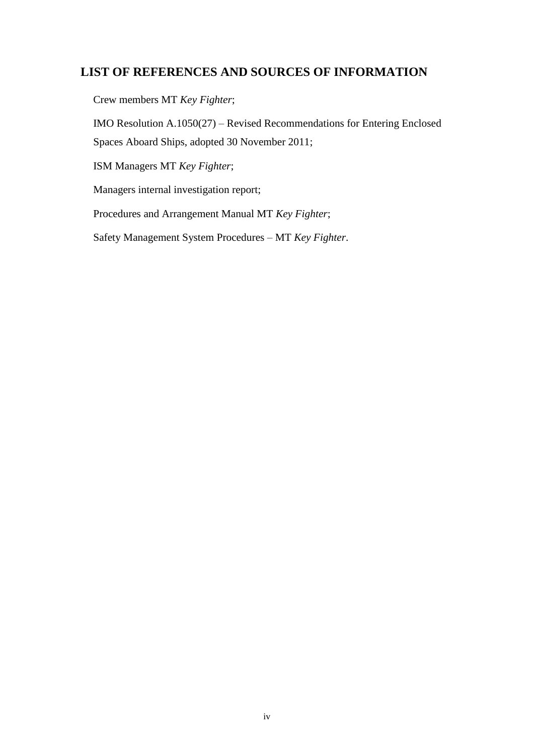# <span id="page-3-0"></span>**LIST OF REFERENCES AND SOURCES OF INFORMATION**

Crew members MT *Key Fighter*;

IMO Resolution A.1050(27) – Revised Recommendations for Entering Enclosed Spaces Aboard Ships, adopted 30 November 2011;

ISM Managers MT *Key Fighter*;

Managers internal investigation report;

Procedures and Arrangement Manual MT *Key Fighter*;

Safety Management System Procedures – MT *Key Fighter*.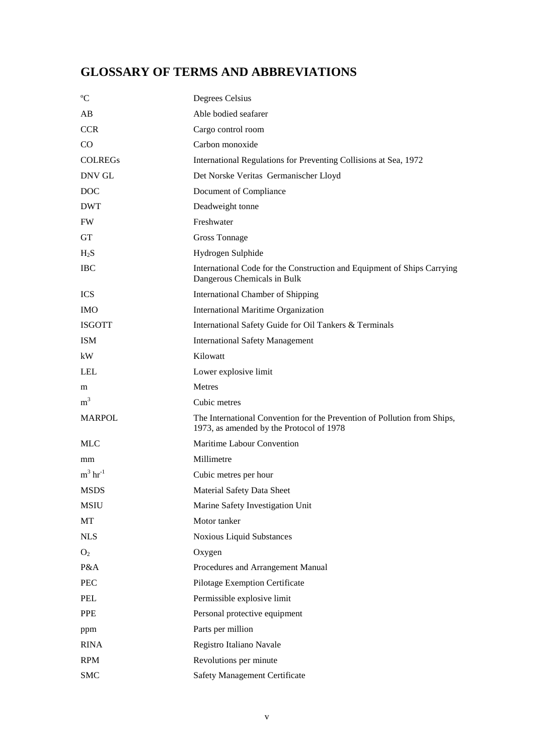# <span id="page-4-0"></span>**GLOSSARY OF TERMS AND ABBREVIATIONS**

| $\rm ^{o}C$            | Degrees Celsius                                                                                                      |
|------------------------|----------------------------------------------------------------------------------------------------------------------|
| AB                     | Able bodied seafarer                                                                                                 |
| <b>CCR</b>             | Cargo control room                                                                                                   |
| $\rm CO$               | Carbon monoxide                                                                                                      |
| <b>COLREGS</b>         | International Regulations for Preventing Collisions at Sea, 1972                                                     |
| DNV GL                 | Det Norske Veritas Germanischer Lloyd                                                                                |
| <b>DOC</b>             | Document of Compliance                                                                                               |
| <b>DWT</b>             | Deadweight tonne                                                                                                     |
| <b>FW</b>              | Freshwater                                                                                                           |
| <b>GT</b>              | <b>Gross Tonnage</b>                                                                                                 |
| $H_2S$                 | Hydrogen Sulphide                                                                                                    |
| <b>IBC</b>             | International Code for the Construction and Equipment of Ships Carrying<br>Dangerous Chemicals in Bulk               |
| <b>ICS</b>             | <b>International Chamber of Shipping</b>                                                                             |
| <b>IMO</b>             | <b>International Maritime Organization</b>                                                                           |
| <b>ISGOTT</b>          | International Safety Guide for Oil Tankers & Terminals                                                               |
| <b>ISM</b>             | <b>International Safety Management</b>                                                                               |
| kW                     | Kilowatt                                                                                                             |
| <b>LEL</b>             | Lower explosive limit                                                                                                |
| m                      | Metres                                                                                                               |
| m <sup>3</sup>         | Cubic metres                                                                                                         |
| <b>MARPOL</b>          | The International Convention for the Prevention of Pollution from Ships,<br>1973, as amended by the Protocol of 1978 |
| <b>MLC</b>             | Maritime Labour Convention                                                                                           |
| mm                     | Millimetre                                                                                                           |
| $m^3$ hr <sup>-1</sup> | Cubic metres per hour                                                                                                |
| <b>MSDS</b>            | Material Safety Data Sheet                                                                                           |
| <b>MSIU</b>            | Marine Safety Investigation Unit                                                                                     |
| MT                     | Motor tanker                                                                                                         |
| <b>NLS</b>             | <b>Noxious Liquid Substances</b>                                                                                     |
| O <sub>2</sub>         | Oxygen                                                                                                               |
| P&A                    | Procedures and Arrangement Manual                                                                                    |
| PEC                    | Pilotage Exemption Certificate                                                                                       |
| PEL                    | Permissible explosive limit                                                                                          |
| PPE                    | Personal protective equipment                                                                                        |
| ppm                    | Parts per million                                                                                                    |
| <b>RINA</b>            | Registro Italiano Navale                                                                                             |
| <b>RPM</b>             | Revolutions per minute                                                                                               |
| <b>SMC</b>             | <b>Safety Management Certificate</b>                                                                                 |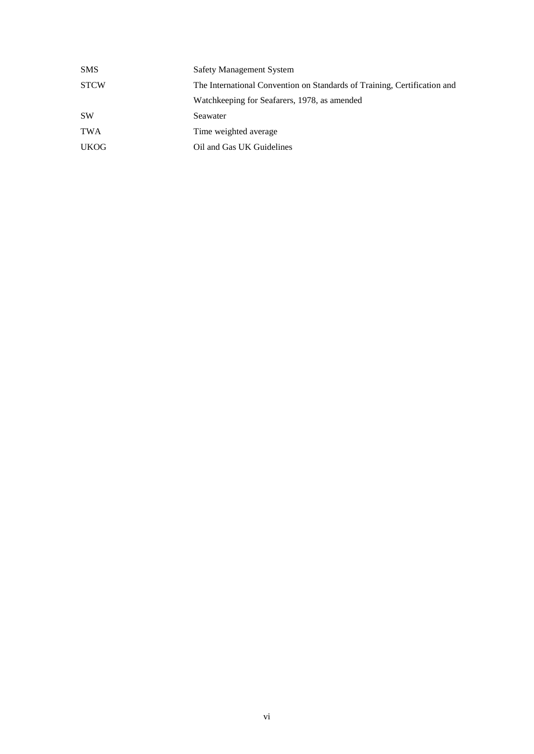| <b>SMS</b>  | <b>Safety Management System</b>                                          |  |
|-------------|--------------------------------------------------------------------------|--|
| <b>STCW</b> | The International Convention on Standards of Training, Certification and |  |
|             | Watchkeeping for Seafarers, 1978, as amended                             |  |
| <b>SW</b>   | Seawater                                                                 |  |
| <b>TWA</b>  | Time weighted average                                                    |  |
| <b>UKOG</b> | Oil and Gas UK Guidelines                                                |  |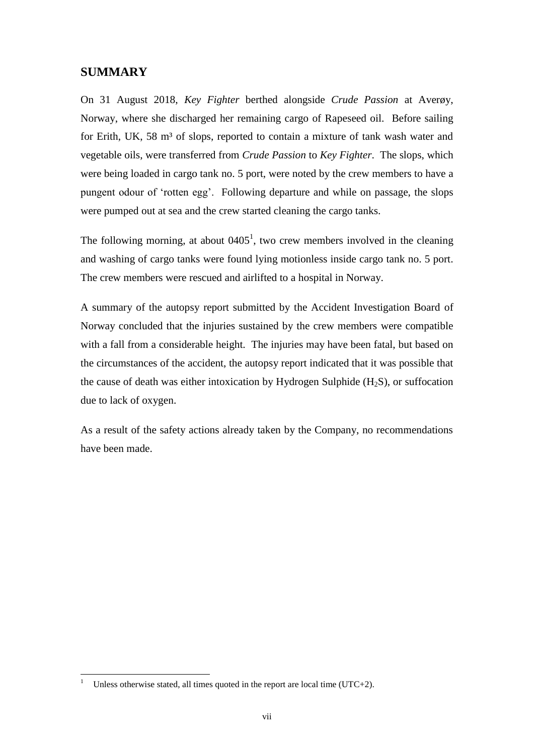# <span id="page-6-0"></span>**SUMMARY**

On 31 August 2018, *Key Fighter* berthed alongside *Crude Passion* at Averøy, Norway, where she discharged her remaining cargo of Rapeseed oil. Before sailing for Erith, UK, 58 m<sup>3</sup> of slops, reported to contain a mixture of tank wash water and vegetable oils, were transferred from *Crude Passion* to *Key Fighter*. The slops, which were being loaded in cargo tank no. 5 port, were noted by the crew members to have a pungent odour of 'rotten egg'. Following departure and while on passage, the slops were pumped out at sea and the crew started cleaning the cargo tanks.

The following morning, at about  $0405<sup>1</sup>$ , two crew members involved in the cleaning and washing of cargo tanks were found lying motionless inside cargo tank no. 5 port. The crew members were rescued and airlifted to a hospital in Norway.

A summary of the autopsy report submitted by the Accident Investigation Board of Norway concluded that the injuries sustained by the crew members were compatible with a fall from a considerable height. The injuries may have been fatal, but based on the circumstances of the accident, the autopsy report indicated that it was possible that the cause of death was either intoxication by Hydrogen Sulphide  $(H_2S)$ , or suffocation due to lack of oxygen.

As a result of the safety actions already taken by the Company, no recommendations have been made.

 $\mathbf{1}$ Unless otherwise stated, all times quoted in the report are local time ( $UTC+2$ ).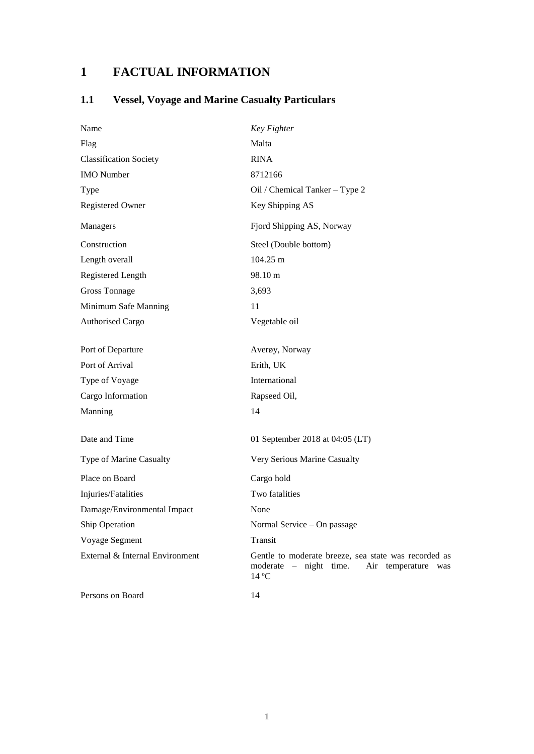# <span id="page-7-0"></span>**1 FACTUAL INFORMATION**

# <span id="page-7-1"></span>**1.1 Vessel, Voyage and Marine Casualty Particulars**

| Name                            | Key Fighter                                                                                                           |
|---------------------------------|-----------------------------------------------------------------------------------------------------------------------|
| Flag                            | Malta                                                                                                                 |
| <b>Classification Society</b>   | <b>RINA</b>                                                                                                           |
| <b>IMO</b> Number               | 8712166                                                                                                               |
| Type                            | Oil / Chemical Tanker - Type 2                                                                                        |
| <b>Registered Owner</b>         | Key Shipping AS                                                                                                       |
| Managers                        | Fjord Shipping AS, Norway                                                                                             |
| Construction                    | Steel (Double bottom)                                                                                                 |
| Length overall                  | 104.25 m                                                                                                              |
| Registered Length               | 98.10 m                                                                                                               |
| <b>Gross Tonnage</b>            | 3,693                                                                                                                 |
| Minimum Safe Manning            | 11                                                                                                                    |
| <b>Authorised Cargo</b>         | Vegetable oil                                                                                                         |
| Port of Departure               | Averøy, Norway                                                                                                        |
| Port of Arrival                 | Erith, UK                                                                                                             |
| Type of Voyage                  | International                                                                                                         |
| Cargo Information               | Rapseed Oil,                                                                                                          |
| Manning                         | 14                                                                                                                    |
| Date and Time                   | 01 September 2018 at 04:05 (LT)                                                                                       |
| Type of Marine Casualty         | Very Serious Marine Casualty                                                                                          |
| Place on Board                  | Cargo hold                                                                                                            |
| Injuries/Fatalities             | Two fatalities                                                                                                        |
| Damage/Environmental Impact     | None                                                                                                                  |
| Ship Operation                  | Normal Service - On passage                                                                                           |
| Voyage Segment                  | Transit                                                                                                               |
| External & Internal Environment | Gentle to moderate breeze, sea state was recorded as<br>$moderate$ – $night$ time.<br>Air temperature<br>was<br>14 °C |
| Persons on Board                | 14                                                                                                                    |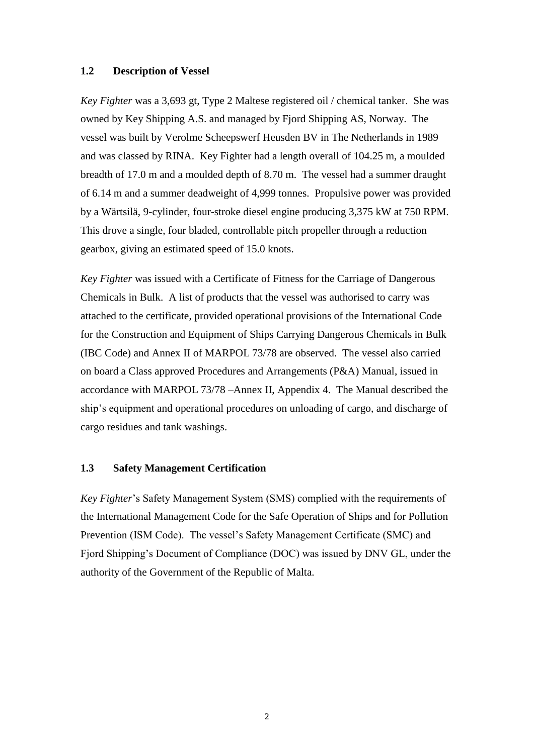#### <span id="page-8-0"></span>**1.2 Description of Vessel**

*Key Fighter* was a 3,693 gt, Type 2 Maltese registered oil / chemical tanker. She was owned by Key Shipping A.S. and managed by Fjord Shipping AS, Norway. The vessel was built by Verolme Scheepswerf Heusden BV in The Netherlands in 1989 and was classed by RINA. Key Fighter had a length overall of 104.25 m, a moulded breadth of 17.0 m and a moulded depth of 8.70 m. The vessel had a summer draught of 6.14 m and a summer deadweight of 4,999 tonnes. Propulsive power was provided by a Wärtsilä, 9-cylinder, four-stroke diesel engine producing 3,375 kW at 750 RPM. This drove a single, four bladed, controllable pitch propeller through a reduction gearbox, giving an estimated speed of 15.0 knots.

*Key Fighter* was issued with a Certificate of Fitness for the Carriage of Dangerous Chemicals in Bulk. A list of products that the vessel was authorised to carry was attached to the certificate, provided operational provisions of the International Code for the Construction and Equipment of Ships Carrying Dangerous Chemicals in Bulk (IBC Code) and Annex II of MARPOL 73/78 are observed. The vessel also carried on board a Class approved Procedures and Arrangements (P&A) Manual, issued in accordance with MARPOL 73/78 –Annex II, Appendix 4. The Manual described the ship's equipment and operational procedures on unloading of cargo, and discharge of cargo residues and tank washings.

# <span id="page-8-1"></span>**1.3 Safety Management Certification**

*Key Fighter*'s Safety Management System (SMS) complied with the requirements of the International Management Code for the Safe Operation of Ships and for Pollution Prevention (ISM Code). The vessel's Safety Management Certificate (SMC) and Fjord Shipping's Document of Compliance (DOC) was issued by DNV GL, under the authority of the Government of the Republic of Malta.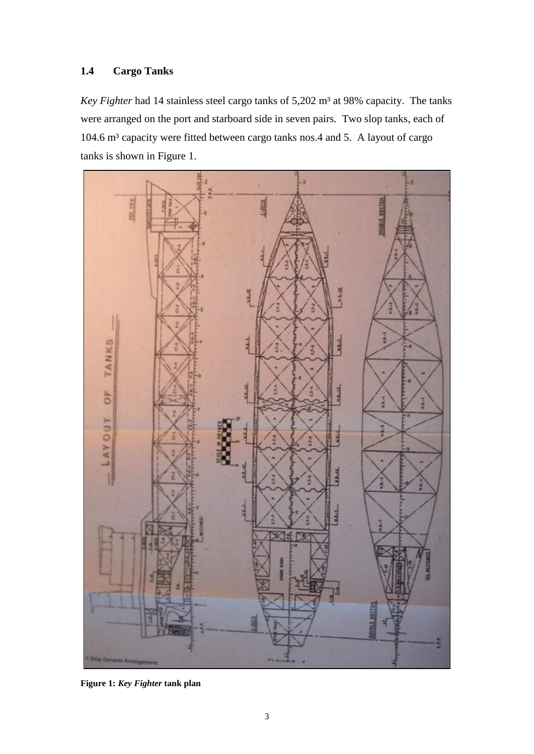# <span id="page-9-0"></span>**1.4 Cargo Tanks**

*Key Fighter* had 14 stainless steel cargo tanks of 5,202 m<sup>3</sup> at 98% capacity. The tanks were arranged on the port and starboard side in seven pairs. Two slop tanks, each of 104.6 m<sup>3</sup> capacity were fitted between cargo tanks nos.4 and 5. A layout of cargo tanks is shown in Figure 1.



**Figure 1:** *Key Fighter* **tank plan**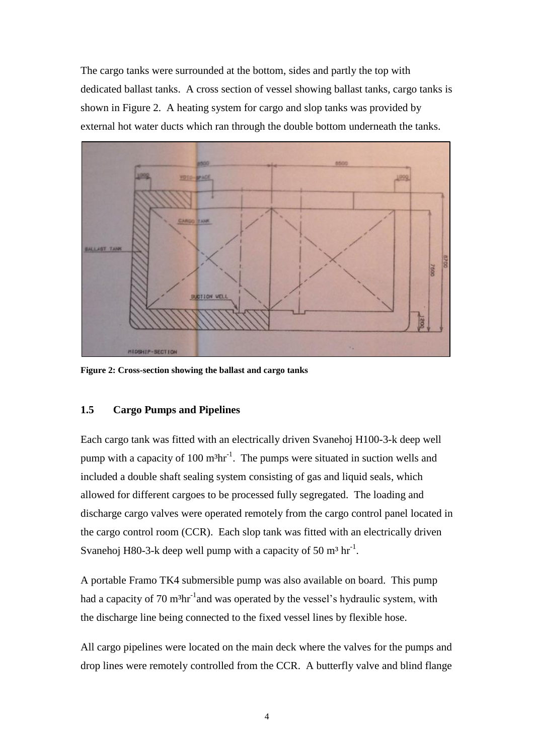The cargo tanks were surrounded at the bottom, sides and partly the top with dedicated ballast tanks. A cross section of vessel showing ballast tanks, cargo tanks is shown in Figure 2. A heating system for cargo and slop tanks was provided by external hot water ducts which ran through the double bottom underneath the tanks.



**Figure 2: Cross-section showing the ballast and cargo tanks**

# <span id="page-10-0"></span>**1.5 Cargo Pumps and Pipelines**

Each cargo tank was fitted with an electrically driven Svanehoj H100-3-k deep well pump with a capacity of 100  $m<sup>3</sup>hr<sup>-1</sup>$ . The pumps were situated in suction wells and included a double shaft sealing system consisting of gas and liquid seals, which allowed for different cargoes to be processed fully segregated. The loading and discharge cargo valves were operated remotely from the cargo control panel located in the cargo control room (CCR). Each slop tank was fitted with an electrically driven Svanehoj H80-3-k deep well pump with a capacity of 50  $m<sup>3</sup> hr<sup>-1</sup>$ .

A portable Framo TK4 submersible pump was also available on board. This pump had a capacity of 70 m<sup>3</sup>hr<sup>-1</sup>and was operated by the vessel's hydraulic system, with the discharge line being connected to the fixed vessel lines by flexible hose.

All cargo pipelines were located on the main deck where the valves for the pumps and drop lines were remotely controlled from the CCR. A butterfly valve and blind flange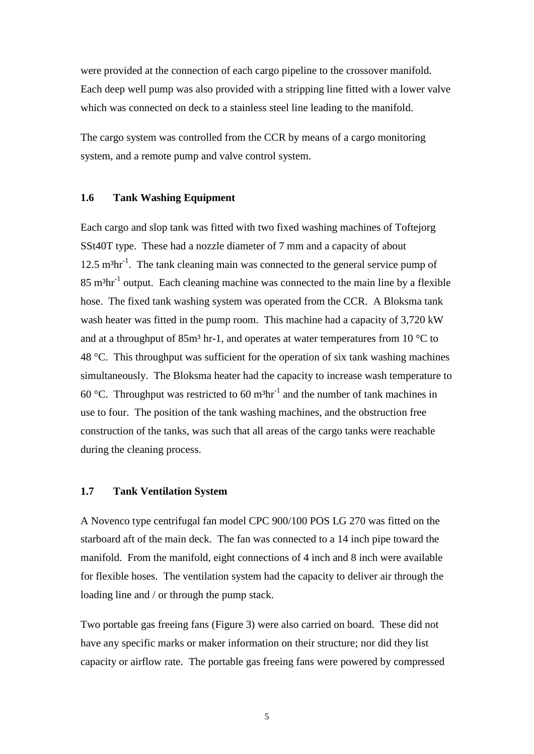were provided at the connection of each cargo pipeline to the crossover manifold. Each deep well pump was also provided with a stripping line fitted with a lower valve which was connected on deck to a stainless steel line leading to the manifold.

The cargo system was controlled from the CCR by means of a cargo monitoring system, and a remote pump and valve control system.

#### <span id="page-11-0"></span>**1.6 Tank Washing Equipment**

Each cargo and slop tank was fitted with two fixed washing machines of Toftejorg SSt40T type. These had a nozzle diameter of 7 mm and a capacity of about 12.5 m<sup>3</sup>hr<sup>-1</sup>. The tank cleaning main was connected to the general service pump of  $85 \text{ m}^3 \text{hr}^1$  output. Each cleaning machine was connected to the main line by a flexible hose. The fixed tank washing system was operated from the CCR. A Bloksma tank wash heater was fitted in the pump room. This machine had a capacity of 3,720 kW and at a throughput of  $85m<sup>3</sup>$  hr-1, and operates at water temperatures from 10 °C to 48 °C. This throughput was sufficient for the operation of six tank washing machines simultaneously. The Bloksma heater had the capacity to increase wash temperature to 60 °C. Throughput was restricted to 60 m<sup>3</sup>hr<sup>-1</sup> and the number of tank machines in use to four. The position of the tank washing machines, and the obstruction free construction of the tanks, was such that all areas of the cargo tanks were reachable during the cleaning process.

#### <span id="page-11-1"></span>**1.7 Tank Ventilation System**

A Novenco type centrifugal fan model CPC 900/100 POS LG 270 was fitted on the starboard aft of the main deck. The fan was connected to a 14 inch pipe toward the manifold. From the manifold, eight connections of 4 inch and 8 inch were available for flexible hoses. The ventilation system had the capacity to deliver air through the loading line and / or through the pump stack.

Two portable gas freeing fans (Figure 3) were also carried on board. These did not have any specific marks or maker information on their structure; nor did they list capacity or airflow rate. The portable gas freeing fans were powered by compressed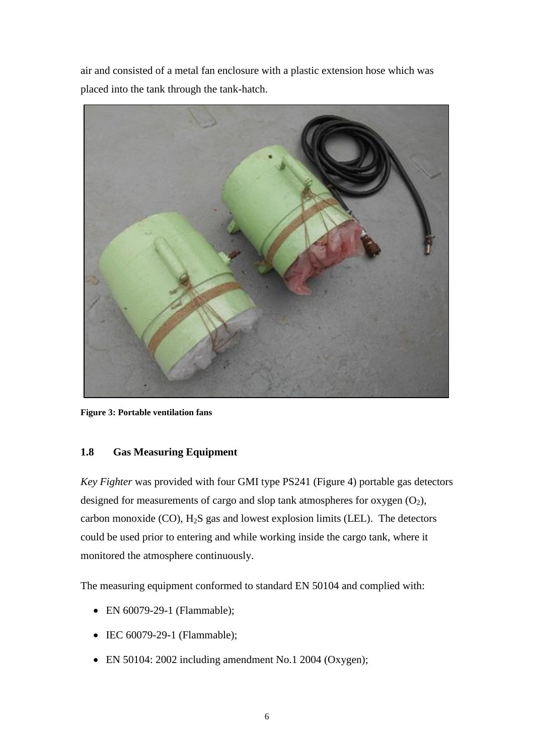air and consisted of a metal fan enclosure with a plastic extension hose which was placed into the tank through the tank-hatch.



**Figure 3: Portable ventilation fans**

# <span id="page-12-0"></span>**1.8 Gas Measuring Equipment**

*Key Fighter* was provided with four GMI type PS241 (Figure 4) portable gas detectors designed for measurements of cargo and slop tank atmospheres for oxygen  $(O_2)$ , carbon monoxide  $(CO)$ ,  $H_2S$  gas and lowest explosion limits (LEL). The detectors could be used prior to entering and while working inside the cargo tank, where it monitored the atmosphere continuously.

The measuring equipment conformed to standard EN 50104 and complied with:

- EN 60079-29-1 (Flammable);
- IEC 60079-29-1 (Flammable);
- EN 50104: 2002 including amendment No.1 2004 (Oxygen);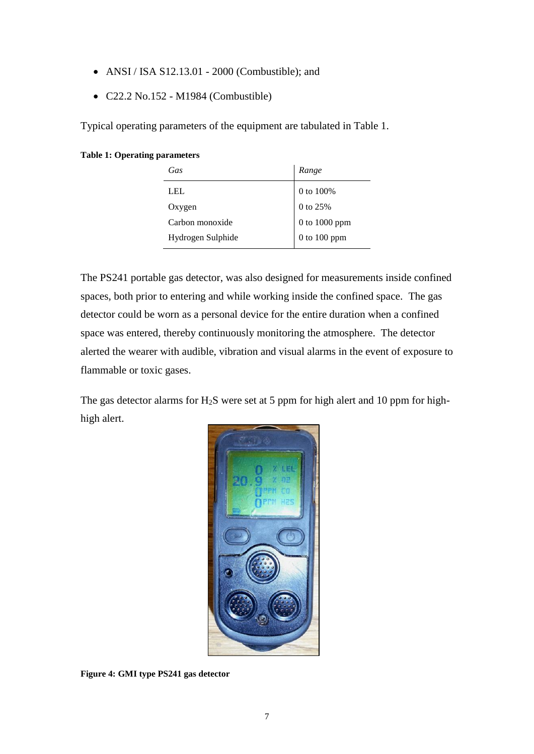- ANSI / ISA S12.13.01 2000 (Combustible); and
- C22.2 No.152 M1984 (Combustible)

Typical operating parameters of the equipment are tabulated in Table 1.

#### **Table 1: Operating parameters**

| Gas               | Range            |
|-------------------|------------------|
| LEL.              | 0 to 100%        |
| Oxygen            | 0 to 25%         |
| Carbon monoxide   | 0 to 1000 ppm    |
| Hydrogen Sulphide | $0$ to $100$ ppm |

The PS241 portable gas detector, was also designed for measurements inside confined spaces, both prior to entering and while working inside the confined space. The gas detector could be worn as a personal device for the entire duration when a confined space was entered, thereby continuously monitoring the atmosphere. The detector alerted the wearer with audible, vibration and visual alarms in the event of exposure to flammable or toxic gases.

The gas detector alarms for  $H_2S$  were set at 5 ppm for high alert and 10 ppm for highhigh alert.



**Figure 4: GMI type PS241 gas detector**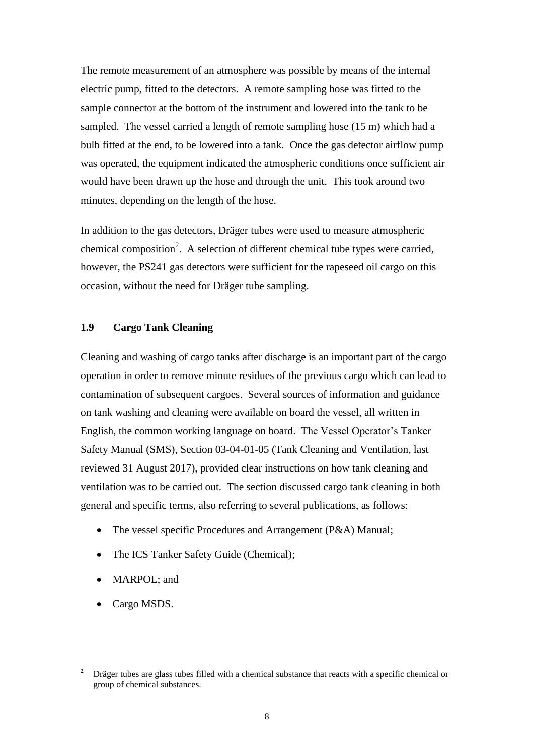The remote measurement of an atmosphere was possible by means of the internal electric pump, fitted to the detectors. A remote sampling hose was fitted to the sample connector at the bottom of the instrument and lowered into the tank to be sampled. The vessel carried a length of remote sampling hose (15 m) which had a bulb fitted at the end, to be lowered into a tank. Once the gas detector airflow pump was operated, the equipment indicated the atmospheric conditions once sufficient air would have been drawn up the hose and through the unit. This took around two minutes, depending on the length of the hose.

In addition to the gas detectors, Dräger tubes were used to measure atmospheric chemical composition<sup>2</sup>. A selection of different chemical tube types were carried, however, the PS241 gas detectors were sufficient for the rapeseed oil cargo on this occasion, without the need for Dräger tube sampling.

#### <span id="page-14-0"></span>**1.9 Cargo Tank Cleaning**

Cleaning and washing of cargo tanks after discharge is an important part of the cargo operation in order to remove minute residues of the previous cargo which can lead to contamination of subsequent cargoes. Several sources of information and guidance on tank washing and cleaning were available on board the vessel, all written in English, the common working language on board. The Vessel Operator's Tanker Safety Manual (SMS), Section 03-04-01-05 (Tank Cleaning and Ventilation, last reviewed 31 August 2017), provided clear instructions on how tank cleaning and ventilation was to be carried out. The section discussed cargo tank cleaning in both general and specific terms, also referring to several publications, as follows:

- The vessel specific Procedures and Arrangement (P&A) Manual;
- The ICS Tanker Safety Guide (Chemical);
- MARPOL; and
- Cargo MSDS.

 $\overline{a}$ 

**<sup>2</sup>** Dräger tubes are glass tubes filled with a chemical substance that reacts with a specific chemical or group of chemical substances.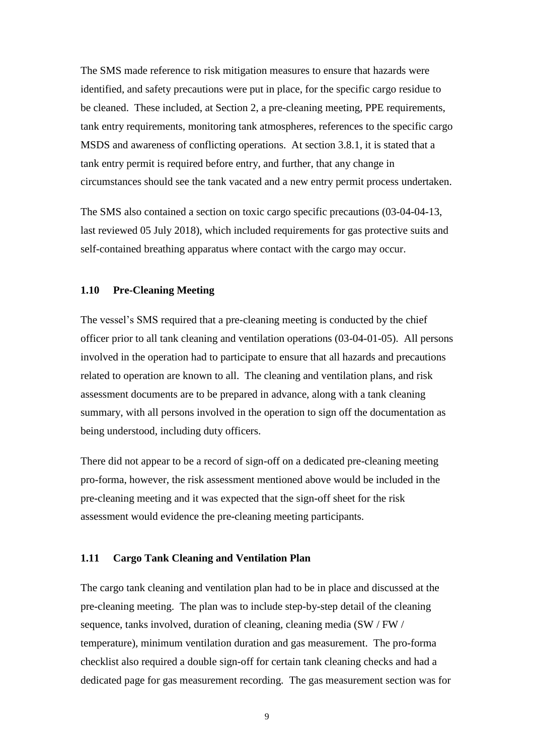The SMS made reference to risk mitigation measures to ensure that hazards were identified, and safety precautions were put in place, for the specific cargo residue to be cleaned. These included, at Section 2, a pre-cleaning meeting, PPE requirements, tank entry requirements, monitoring tank atmospheres, references to the specific cargo MSDS and awareness of conflicting operations. At section 3.8.1, it is stated that a tank entry permit is required before entry, and further, that any change in circumstances should see the tank vacated and a new entry permit process undertaken.

The SMS also contained a section on toxic cargo specific precautions (03-04-04-13, last reviewed 05 July 2018), which included requirements for gas protective suits and self-contained breathing apparatus where contact with the cargo may occur.

# <span id="page-15-0"></span>**1.10 Pre-Cleaning Meeting**

The vessel's SMS required that a pre-cleaning meeting is conducted by the chief officer prior to all tank cleaning and ventilation operations (03-04-01-05). All persons involved in the operation had to participate to ensure that all hazards and precautions related to operation are known to all. The cleaning and ventilation plans, and risk assessment documents are to be prepared in advance, along with a tank cleaning summary, with all persons involved in the operation to sign off the documentation as being understood, including duty officers.

There did not appear to be a record of sign-off on a dedicated pre-cleaning meeting pro-forma, however, the risk assessment mentioned above would be included in the pre-cleaning meeting and it was expected that the sign-off sheet for the risk assessment would evidence the pre-cleaning meeting participants.

#### <span id="page-15-1"></span>**1.11 Cargo Tank Cleaning and Ventilation Plan**

The cargo tank cleaning and ventilation plan had to be in place and discussed at the pre-cleaning meeting. The plan was to include step-by-step detail of the cleaning sequence, tanks involved, duration of cleaning, cleaning media (SW / FW / temperature), minimum ventilation duration and gas measurement. The pro-forma checklist also required a double sign-off for certain tank cleaning checks and had a dedicated page for gas measurement recording. The gas measurement section was for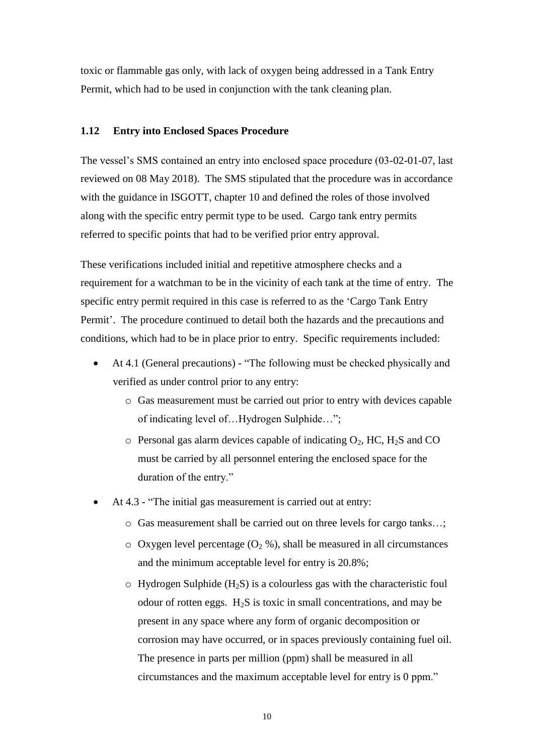toxic or flammable gas only, with lack of oxygen being addressed in a Tank Entry Permit, which had to be used in conjunction with the tank cleaning plan.

### <span id="page-16-0"></span>**1.12 Entry into Enclosed Spaces Procedure**

The vessel's SMS contained an entry into enclosed space procedure (03-02-01-07, last reviewed on 08 May 2018). The SMS stipulated that the procedure was in accordance with the guidance in ISGOTT, chapter 10 and defined the roles of those involved along with the specific entry permit type to be used. Cargo tank entry permits referred to specific points that had to be verified prior entry approval.

These verifications included initial and repetitive atmosphere checks and a requirement for a watchman to be in the vicinity of each tank at the time of entry. The specific entry permit required in this case is referred to as the 'Cargo Tank Entry Permit'. The procedure continued to detail both the hazards and the precautions and conditions, which had to be in place prior to entry. Specific requirements included:

- At 4.1 (General precautions) "The following must be checked physically and verified as under control prior to any entry:
	- o Gas measurement must be carried out prior to entry with devices capable of indicating level of…Hydrogen Sulphide…";
	- $\circ$  Personal gas alarm devices capable of indicating  $O_2$ , HC, H<sub>2</sub>S and CO must be carried by all personnel entering the enclosed space for the duration of the entry."
- At 4.3 "The initial gas measurement is carried out at entry:
	- o Gas measurement shall be carried out on three levels for cargo tanks…;
	- $\circ$  Oxygen level percentage (O<sub>2</sub> %), shall be measured in all circumstances and the minimum acceptable level for entry is 20.8%;
	- $\circ$  Hydrogen Sulphide (H<sub>2</sub>S) is a colourless gas with the characteristic foul odour of rotten eggs.  $H_2S$  is toxic in small concentrations, and may be present in any space where any form of organic decomposition or corrosion may have occurred, or in spaces previously containing fuel oil. The presence in parts per million (ppm) shall be measured in all circumstances and the maximum acceptable level for entry is 0 ppm."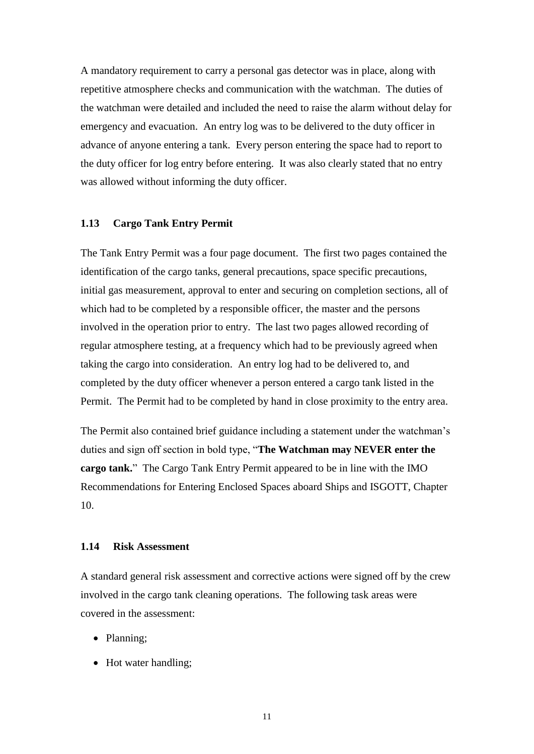A mandatory requirement to carry a personal gas detector was in place, along with repetitive atmosphere checks and communication with the watchman. The duties of the watchman were detailed and included the need to raise the alarm without delay for emergency and evacuation. An entry log was to be delivered to the duty officer in advance of anyone entering a tank. Every person entering the space had to report to the duty officer for log entry before entering. It was also clearly stated that no entry was allowed without informing the duty officer.

#### <span id="page-17-0"></span>**1.13 Cargo Tank Entry Permit**

The Tank Entry Permit was a four page document. The first two pages contained the identification of the cargo tanks, general precautions, space specific precautions, initial gas measurement, approval to enter and securing on completion sections, all of which had to be completed by a responsible officer, the master and the persons involved in the operation prior to entry. The last two pages allowed recording of regular atmosphere testing, at a frequency which had to be previously agreed when taking the cargo into consideration. An entry log had to be delivered to, and completed by the duty officer whenever a person entered a cargo tank listed in the Permit. The Permit had to be completed by hand in close proximity to the entry area.

The Permit also contained brief guidance including a statement under the watchman's duties and sign off section in bold type, "**The Watchman may NEVER enter the cargo tank.**" The Cargo Tank Entry Permit appeared to be in line with the IMO Recommendations for Entering Enclosed Spaces aboard Ships and ISGOTT, Chapter 10.

# <span id="page-17-1"></span>**1.14 Risk Assessment**

A standard general risk assessment and corrective actions were signed off by the crew involved in the cargo tank cleaning operations. The following task areas were covered in the assessment:

- Planning;
- Hot water handling;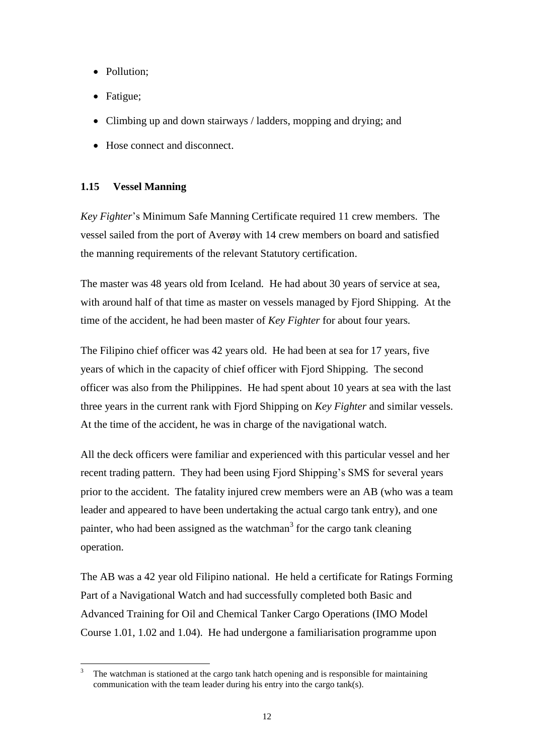- Pollution;
- Fatigue;
- Climbing up and down stairways / ladders, mopping and drying; and
- Hose connect and disconnect.

# <span id="page-18-0"></span>**1.15 Vessel Manning**

*Key Fighter*'s Minimum Safe Manning Certificate required 11 crew members. The vessel sailed from the port of Averøy with 14 crew members on board and satisfied the manning requirements of the relevant Statutory certification.

The master was 48 years old from Iceland. He had about 30 years of service at sea, with around half of that time as master on vessels managed by Fjord Shipping. At the time of the accident, he had been master of *Key Fighter* for about four years*.*

The Filipino chief officer was 42 years old. He had been at sea for 17 years, five years of which in the capacity of chief officer with Fjord Shipping. The second officer was also from the Philippines. He had spent about 10 years at sea with the last three years in the current rank with Fjord Shipping on *Key Fighter* and similar vessels. At the time of the accident, he was in charge of the navigational watch.

All the deck officers were familiar and experienced with this particular vessel and her recent trading pattern. They had been using Fjord Shipping's SMS for several years prior to the accident. The fatality injured crew members were an AB (who was a team leader and appeared to have been undertaking the actual cargo tank entry), and one painter, who had been assigned as the watchman<sup>3</sup> for the cargo tank cleaning operation.

The AB was a 42 year old Filipino national. He held a certificate for Ratings Forming Part of a Navigational Watch and had successfully completed both Basic and Advanced Training for Oil and Chemical Tanker Cargo Operations (IMO Model Course 1.01, 1.02 and 1.04). He had undergone a familiarisation programme upon

 $\overline{a}$ The watchman is stationed at the cargo tank hatch opening and is responsible for maintaining communication with the team leader during his entry into the cargo tank(s).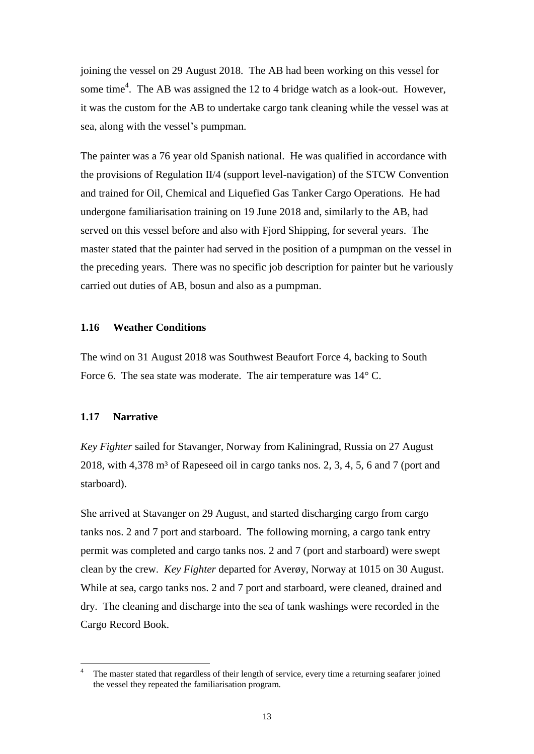joining the vessel on 29 August 2018. The AB had been working on this vessel for some time<sup>4</sup>. The AB was assigned the 12 to 4 bridge watch as a look-out. However, it was the custom for the AB to undertake cargo tank cleaning while the vessel was at sea, along with the vessel's pumpman.

The painter was a 76 year old Spanish national. He was qualified in accordance with the provisions of Regulation II/4 (support level-navigation) of the STCW Convention and trained for Oil, Chemical and Liquefied Gas Tanker Cargo Operations. He had undergone familiarisation training on 19 June 2018 and, similarly to the AB, had served on this vessel before and also with Fjord Shipping, for several years. The master stated that the painter had served in the position of a pumpman on the vessel in the preceding years. There was no specific job description for painter but he variously carried out duties of AB, bosun and also as a pumpman.

#### <span id="page-19-0"></span>**1.16 Weather Conditions**

The wind on 31 August 2018 was Southwest Beaufort Force 4, backing to South Force 6. The sea state was moderate. The air temperature was  $14^{\circ}$  C.

### <span id="page-19-1"></span>**1.17 Narrative**

 $\overline{a}$ 

*Key Fighter* sailed for Stavanger, Norway from Kaliningrad, Russia on 27 August 2018, with  $4,378$  m<sup>3</sup> of Rapeseed oil in cargo tanks nos. 2, 3, 4, 5, 6 and 7 (port and starboard).

She arrived at Stavanger on 29 August, and started discharging cargo from cargo tanks nos. 2 and 7 port and starboard. The following morning, a cargo tank entry permit was completed and cargo tanks nos. 2 and 7 (port and starboard) were swept clean by the crew. *Key Fighter* departed for Averøy, Norway at 1015 on 30 August. While at sea, cargo tanks nos. 2 and 7 port and starboard, were cleaned, drained and dry. The cleaning and discharge into the sea of tank washings were recorded in the Cargo Record Book.

<sup>4</sup> The master stated that regardless of their length of service, every time a returning seafarer joined the vessel they repeated the familiarisation program.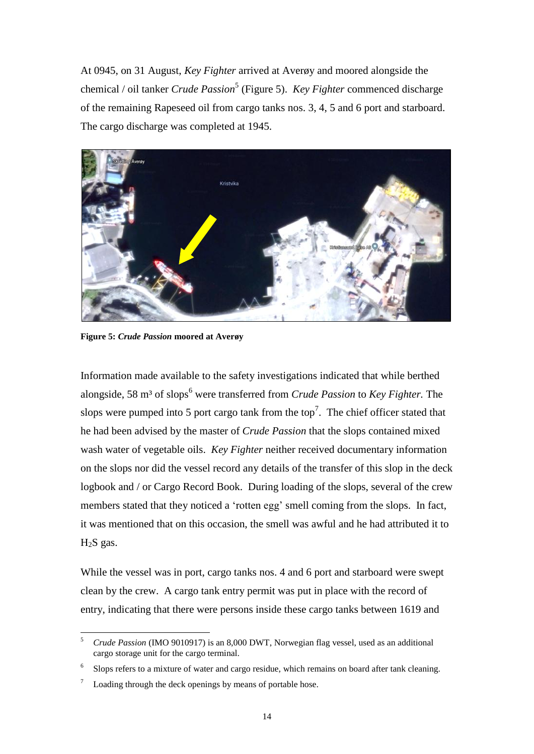At 0945, on 31 August, *Key Fighter* arrived at Averøy and moored alongside the chemical / oil tanker *Crude Passion*<sup>5</sup> (Figure 5). *Key Fighter* commenced discharge of the remaining Rapeseed oil from cargo tanks nos. 3, 4, 5 and 6 port and starboard. The cargo discharge was completed at 1945.



**Figure 5:** *Crude Passion* **moored at Averøy**

Information made available to the safety investigations indicated that while berthed alongside, 58 m<sup>3</sup> of slops<sup>6</sup> were transferred from *Crude Passion* to *Key Fighter*. The slops were pumped into 5 port cargo tank from the top<sup>7</sup>. The chief officer stated that he had been advised by the master of *Crude Passion* that the slops contained mixed wash water of vegetable oils. *Key Fighter* neither received documentary information on the slops nor did the vessel record any details of the transfer of this slop in the deck logbook and / or Cargo Record Book. During loading of the slops, several of the crew members stated that they noticed a 'rotten egg' smell coming from the slops. In fact, it was mentioned that on this occasion, the smell was awful and he had attributed it to  $H<sub>2</sub>S$  gas.

While the vessel was in port, cargo tanks nos. 4 and 6 port and starboard were swept clean by the crew. A cargo tank entry permit was put in place with the record of entry, indicating that there were persons inside these cargo tanks between 1619 and

<sup>5</sup> *Crude Passion* (IMO 9010917) is an 8,000 DWT, Norwegian flag vessel, used as an additional cargo storage unit for the cargo terminal.

<sup>&</sup>lt;sup>6</sup> Slops refers to a mixture of water and cargo residue, which remains on board after tank cleaning.

 $\frac{7}{10}$  Loading through the deck openings by means of portable hose.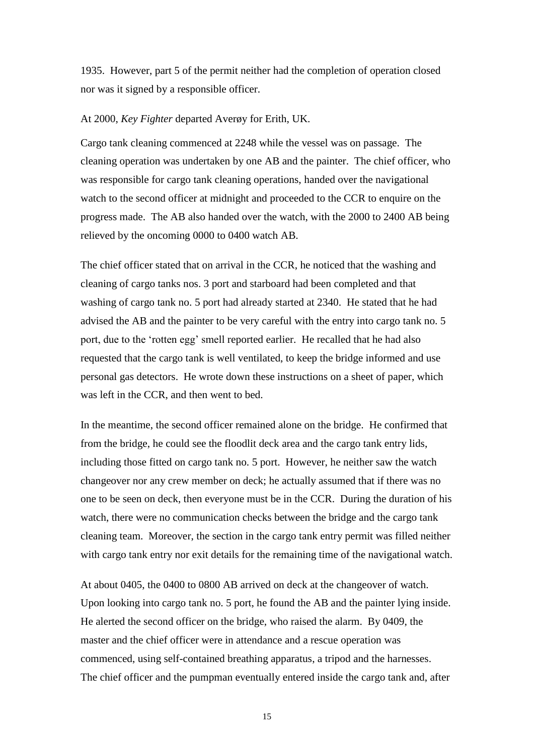1935. However, part 5 of the permit neither had the completion of operation closed nor was it signed by a responsible officer.

#### At 2000, *Key Fighter* departed Averøy for Erith, UK.

Cargo tank cleaning commenced at 2248 while the vessel was on passage. The cleaning operation was undertaken by one AB and the painter. The chief officer, who was responsible for cargo tank cleaning operations, handed over the navigational watch to the second officer at midnight and proceeded to the CCR to enquire on the progress made. The AB also handed over the watch, with the 2000 to 2400 AB being relieved by the oncoming 0000 to 0400 watch AB.

The chief officer stated that on arrival in the CCR, he noticed that the washing and cleaning of cargo tanks nos. 3 port and starboard had been completed and that washing of cargo tank no. 5 port had already started at 2340. He stated that he had advised the AB and the painter to be very careful with the entry into cargo tank no. 5 port, due to the 'rotten egg' smell reported earlier. He recalled that he had also requested that the cargo tank is well ventilated, to keep the bridge informed and use personal gas detectors. He wrote down these instructions on a sheet of paper, which was left in the CCR, and then went to bed.

In the meantime, the second officer remained alone on the bridge. He confirmed that from the bridge, he could see the floodlit deck area and the cargo tank entry lids, including those fitted on cargo tank no. 5 port. However, he neither saw the watch changeover nor any crew member on deck; he actually assumed that if there was no one to be seen on deck, then everyone must be in the CCR. During the duration of his watch, there were no communication checks between the bridge and the cargo tank cleaning team. Moreover, the section in the cargo tank entry permit was filled neither with cargo tank entry nor exit details for the remaining time of the navigational watch.

At about 0405, the 0400 to 0800 AB arrived on deck at the changeover of watch. Upon looking into cargo tank no. 5 port, he found the AB and the painter lying inside. He alerted the second officer on the bridge, who raised the alarm. By 0409, the master and the chief officer were in attendance and a rescue operation was commenced, using self-contained breathing apparatus, a tripod and the harnesses. The chief officer and the pumpman eventually entered inside the cargo tank and, after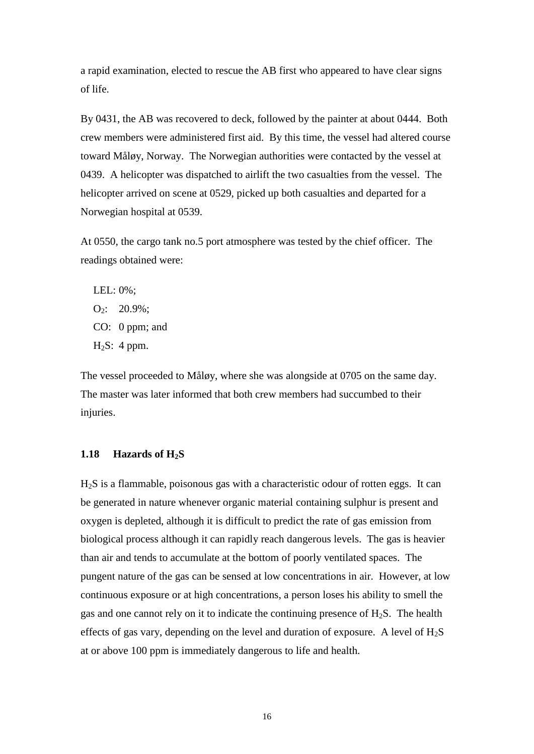a rapid examination, elected to rescue the AB first who appeared to have clear signs of life.

By 0431, the AB was recovered to deck, followed by the painter at about 0444. Both crew members were administered first aid. By this time, the vessel had altered course toward Måløy, Norway. The Norwegian authorities were contacted by the vessel at 0439. A helicopter was dispatched to airlift the two casualties from the vessel. The helicopter arrived on scene at 0529, picked up both casualties and departed for a Norwegian hospital at 0539.

At 0550, the cargo tank no.5 port atmosphere was tested by the chief officer. The readings obtained were:

LEL: 0%;  $O_2$ : 20.9%; CO: 0 ppm; and  $H_2S: 4 ppm.$ 

The vessel proceeded to Måløy, where she was alongside at 0705 on the same day. The master was later informed that both crew members had succumbed to their injuries.

### <span id="page-22-0"></span>**1.18 Hazards of H2S**

H2S is a flammable, poisonous gas with a characteristic odour of rotten eggs. It can be generated in nature whenever organic material containing sulphur is present and oxygen is depleted, although it is difficult to predict the rate of gas emission from biological process although it can rapidly reach dangerous levels. The gas is heavier than air and tends to accumulate at the bottom of poorly ventilated spaces. The pungent nature of the gas can be sensed at low concentrations in air. However, at low continuous exposure or at high concentrations, a person loses his ability to smell the gas and one cannot rely on it to indicate the continuing presence of  $H_2S$ . The health effects of gas vary, depending on the level and duration of exposure. A level of  $H_2S$ at or above 100 ppm is immediately dangerous to life and health.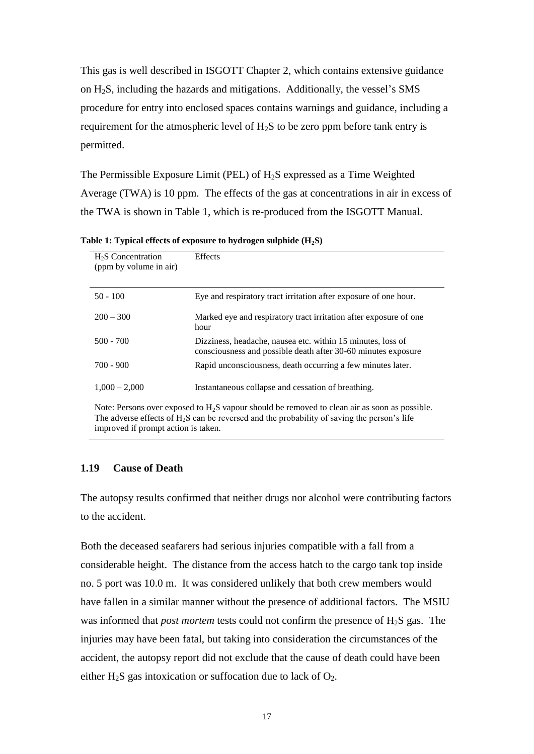This gas is well described in ISGOTT Chapter 2, which contains extensive guidance on H2S, including the hazards and mitigations. Additionally, the vessel's SMS procedure for entry into enclosed spaces contains warnings and guidance, including a requirement for the atmospheric level of  $H_2S$  to be zero ppm before tank entry is permitted.

The Permissible Exposure Limit (PEL) of  $H_2S$  expressed as a Time Weighted Average (TWA) is 10 ppm. The effects of the gas at concentrations in air in excess of the TWA is shown in Table 1, which is re-produced from the ISGOTT Manual.

| $H2S$ Concentration<br>(ppm by volume in air) | <b>Effects</b>                                                                                                               |
|-----------------------------------------------|------------------------------------------------------------------------------------------------------------------------------|
| $50 - 100$                                    | Eye and respiratory tract irritation after exposure of one hour.                                                             |
| $200 - 300$                                   | Marked eye and respiratory tract irritation after exposure of one<br>hour                                                    |
| $500 - 700$                                   | Dizziness, headache, nausea etc. within 15 minutes, loss of<br>consciousness and possible death after 30-60 minutes exposure |
| $700 - 900$                                   | Rapid unconsciousness, death occurring a few minutes later.                                                                  |
| $1,000 - 2,000$                               | Instantaneous collapse and cessation of breathing.                                                                           |

**Table 1: Typical effects of exposure to hydrogen sulphide (H2S)**

Note: Persons over exposed to H<sub>2</sub>S vapour should be removed to clean air as soon as possible. The adverse effects of  $H_2S$  can be reversed and the probability of saving the person's life improved if prompt action is taken.

# <span id="page-23-0"></span>**1.19 Cause of Death**

The autopsy results confirmed that neither drugs nor alcohol were contributing factors to the accident.

Both the deceased seafarers had serious injuries compatible with a fall from a considerable height. The distance from the access hatch to the cargo tank top inside no. 5 port was 10.0 m. It was considered unlikely that both crew members would have fallen in a similar manner without the presence of additional factors. The MSIU was informed that *post mortem* tests could not confirm the presence of H2S gas. The injuries may have been fatal, but taking into consideration the circumstances of the accident, the autopsy report did not exclude that the cause of death could have been either H<sub>2</sub>S gas intoxication or suffocation due to lack of  $O_2$ .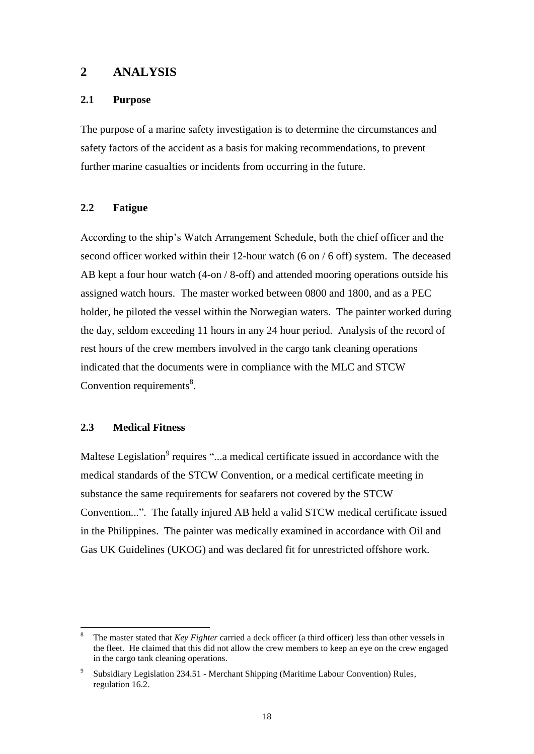# <span id="page-24-0"></span>**2 ANALYSIS**

# <span id="page-24-1"></span>**2.1 Purpose**

The purpose of a marine safety investigation is to determine the circumstances and safety factors of the accident as a basis for making recommendations, to prevent further marine casualties or incidents from occurring in the future.

# <span id="page-24-2"></span>**2.2 Fatigue**

According to the ship's Watch Arrangement Schedule, both the chief officer and the second officer worked within their 12-hour watch (6 on / 6 off) system. The deceased AB kept a four hour watch (4-on / 8-off) and attended mooring operations outside his assigned watch hours. The master worked between 0800 and 1800, and as a PEC holder, he piloted the vessel within the Norwegian waters. The painter worked during the day, seldom exceeding 11 hours in any 24 hour period. Analysis of the record of rest hours of the crew members involved in the cargo tank cleaning operations indicated that the documents were in compliance with the MLC and STCW Convention requirements $8$ .

### <span id="page-24-3"></span>**2.3 Medical Fitness**

Maltese Legislation<sup>9</sup> requires "...a medical certificate issued in accordance with the medical standards of the STCW Convention, or a medical certificate meeting in substance the same requirements for seafarers not covered by the STCW Convention...". The fatally injured AB held a valid STCW medical certificate issued in the Philippines. The painter was medically examined in accordance with Oil and Gas UK Guidelines (UKOG) and was declared fit for unrestricted offshore work.

<sup>8</sup> <sup>8</sup> The master stated that *Key Fighter* carried a deck officer (a third officer) less than other vessels in the fleet. He claimed that this did not allow the crew members to keep an eye on the crew engaged in the cargo tank cleaning operations.

<sup>9</sup> Subsidiary Legislation 234.51 - Merchant Shipping (Maritime Labour Convention) Rules, regulation 16.2.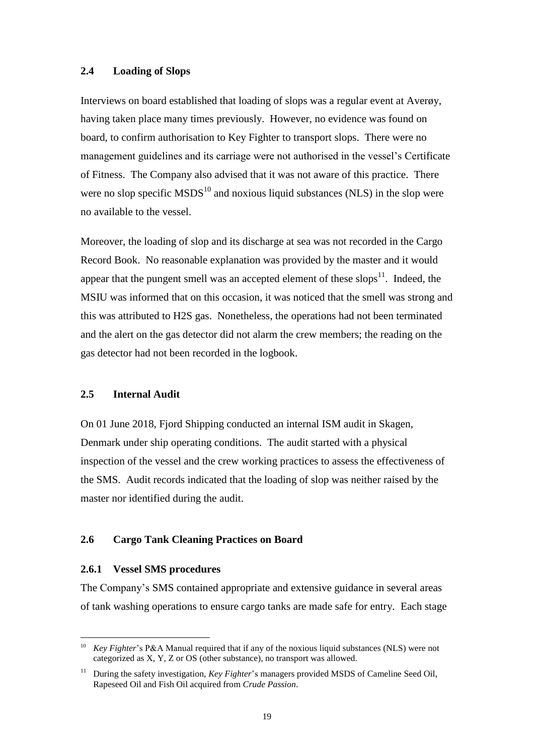#### <span id="page-25-0"></span>**2.4 Loading of Slops**

Interviews on board established that loading of slops was a regular event at Averøy, having taken place many times previously. However, no evidence was found on board, to confirm authorisation to Key Fighter to transport slops. There were no management guidelines and its carriage were not authorised in the vessel's Certificate of Fitness. The Company also advised that it was not aware of this practice. There were no slop specific  $MSDS<sup>10</sup>$  and noxious liquid substances (NLS) in the slop were no available to the vessel.

Moreover, the loading of slop and its discharge at sea was not recorded in the Cargo Record Book. No reasonable explanation was provided by the master and it would appear that the pungent smell was an accepted element of these slops $\mathbf{1}^{\prime}$ . Indeed, the MSIU was informed that on this occasion, it was noticed that the smell was strong and this was attributed to H2S gas. Nonetheless, the operations had not been terminated and the alert on the gas detector did not alarm the crew members; the reading on the gas detector had not been recorded in the logbook.

#### <span id="page-25-1"></span>**2.5 Internal Audit**

On 01 June 2018, Fjord Shipping conducted an internal ISM audit in Skagen, Denmark under ship operating conditions. The audit started with a physical inspection of the vessel and the crew working practices to assess the effectiveness of the SMS. Audit records indicated that the loading of slop was neither raised by the master nor identified during the audit.

# <span id="page-25-2"></span>**2.6 Cargo Tank Cleaning Practices on Board**

#### <span id="page-25-3"></span>**2.6.1 Vessel SMS procedures**

The Company's SMS contained appropriate and extensive guidance in several areas of tank washing operations to ensure cargo tanks are made safe for entry. Each stage

<sup>&</sup>lt;sup>10</sup> *Key Fighter's P&A Manual required that if any of the noxious liquid substances (NLS) were not* categorized as X, Y, Z or OS (other substance), no transport was allowed.

<sup>&</sup>lt;sup>11</sup> During the safety investigation, *Key Fighter's* managers provided MSDS of Cameline Seed Oil, Rapeseed Oil and Fish Oil acquired from *Crude Passion*.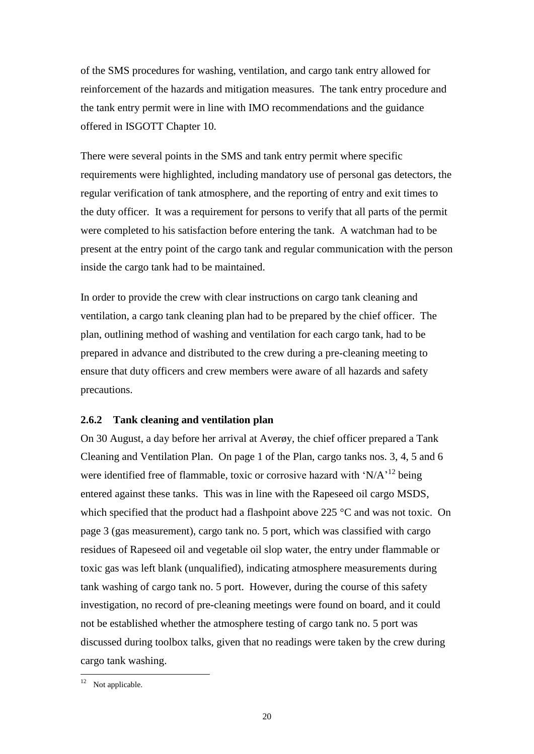of the SMS procedures for washing, ventilation, and cargo tank entry allowed for reinforcement of the hazards and mitigation measures. The tank entry procedure and the tank entry permit were in line with IMO recommendations and the guidance offered in ISGOTT Chapter 10.

There were several points in the SMS and tank entry permit where specific requirements were highlighted, including mandatory use of personal gas detectors, the regular verification of tank atmosphere, and the reporting of entry and exit times to the duty officer. It was a requirement for persons to verify that all parts of the permit were completed to his satisfaction before entering the tank. A watchman had to be present at the entry point of the cargo tank and regular communication with the person inside the cargo tank had to be maintained.

In order to provide the crew with clear instructions on cargo tank cleaning and ventilation, a cargo tank cleaning plan had to be prepared by the chief officer. The plan, outlining method of washing and ventilation for each cargo tank, had to be prepared in advance and distributed to the crew during a pre-cleaning meeting to ensure that duty officers and crew members were aware of all hazards and safety precautions.

### <span id="page-26-0"></span>**2.6.2 Tank cleaning and ventilation plan**

On 30 August, a day before her arrival at Averøy, the chief officer prepared a Tank Cleaning and Ventilation Plan. On page 1 of the Plan, cargo tanks nos. 3, 4, 5 and 6 were identified free of flammable, toxic or corrosive hazard with ' $N/A$ <sup>, 12</sup> being entered against these tanks. This was in line with the Rapeseed oil cargo MSDS, which specified that the product had a flashpoint above 225 °C and was not toxic. On page 3 (gas measurement), cargo tank no. 5 port, which was classified with cargo residues of Rapeseed oil and vegetable oil slop water, the entry under flammable or toxic gas was left blank (unqualified), indicating atmosphere measurements during tank washing of cargo tank no. 5 port. However, during the course of this safety investigation, no record of pre-cleaning meetings were found on board, and it could not be established whether the atmosphere testing of cargo tank no. 5 port was discussed during toolbox talks, given that no readings were taken by the crew during cargo tank washing.

 $\overline{a}$ 

 $12$  Not applicable.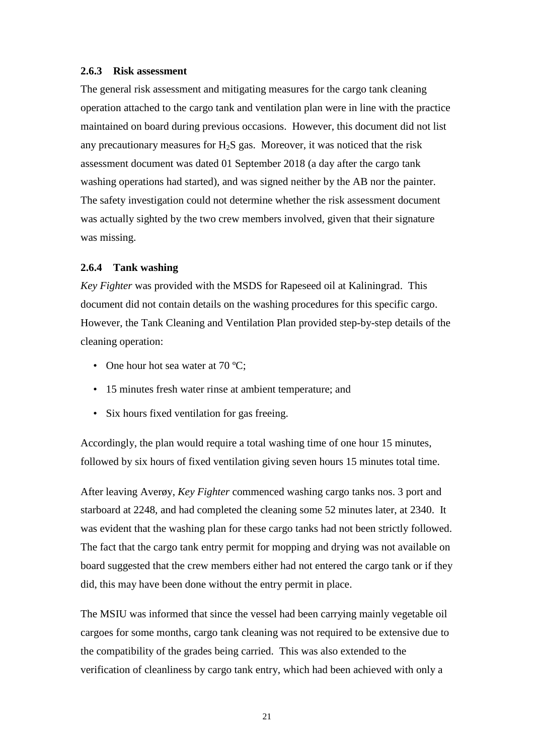#### <span id="page-27-0"></span>**2.6.3 Risk assessment**

The general risk assessment and mitigating measures for the cargo tank cleaning operation attached to the cargo tank and ventilation plan were in line with the practice maintained on board during previous occasions. However, this document did not list any precautionary measures for  $H_2S$  gas. Moreover, it was noticed that the risk assessment document was dated 01 September 2018 (a day after the cargo tank washing operations had started), and was signed neither by the AB nor the painter. The safety investigation could not determine whether the risk assessment document was actually sighted by the two crew members involved, given that their signature was missing.

#### <span id="page-27-1"></span>**2.6.4 Tank washing**

*Key Fighter* was provided with the MSDS for Rapeseed oil at Kaliningrad. This document did not contain details on the washing procedures for this specific cargo. However, the Tank Cleaning and Ventilation Plan provided step-by-step details of the cleaning operation:

- One hour hot sea water at 70 °C;
- 15 minutes fresh water rinse at ambient temperature; and
- Six hours fixed ventilation for gas freeing.

Accordingly, the plan would require a total washing time of one hour 15 minutes, followed by six hours of fixed ventilation giving seven hours 15 minutes total time.

After leaving Averøy, *Key Fighter* commenced washing cargo tanks nos. 3 port and starboard at 2248, and had completed the cleaning some 52 minutes later, at 2340. It was evident that the washing plan for these cargo tanks had not been strictly followed. The fact that the cargo tank entry permit for mopping and drying was not available on board suggested that the crew members either had not entered the cargo tank or if they did, this may have been done without the entry permit in place.

The MSIU was informed that since the vessel had been carrying mainly vegetable oil cargoes for some months, cargo tank cleaning was not required to be extensive due to the compatibility of the grades being carried. This was also extended to the verification of cleanliness by cargo tank entry, which had been achieved with only a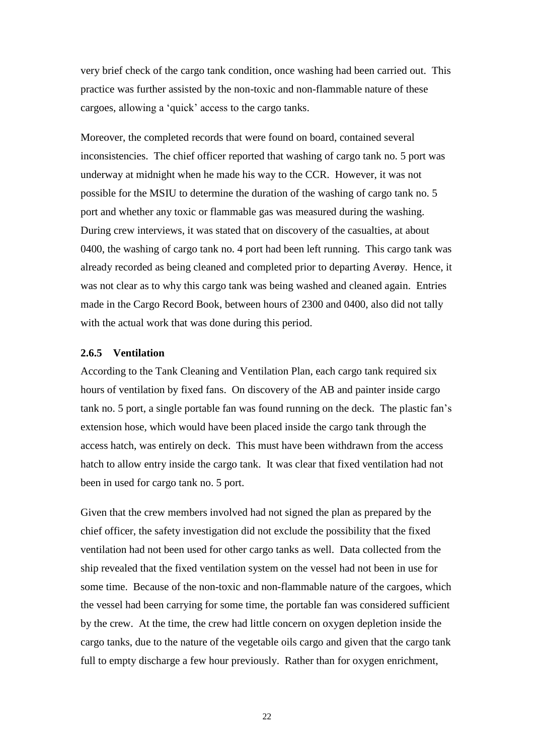very brief check of the cargo tank condition, once washing had been carried out. This practice was further assisted by the non-toxic and non-flammable nature of these cargoes, allowing a 'quick' access to the cargo tanks.

Moreover, the completed records that were found on board, contained several inconsistencies. The chief officer reported that washing of cargo tank no. 5 port was underway at midnight when he made his way to the CCR. However, it was not possible for the MSIU to determine the duration of the washing of cargo tank no. 5 port and whether any toxic or flammable gas was measured during the washing. During crew interviews, it was stated that on discovery of the casualties, at about 0400, the washing of cargo tank no. 4 port had been left running. This cargo tank was already recorded as being cleaned and completed prior to departing Averøy. Hence, it was not clear as to why this cargo tank was being washed and cleaned again. Entries made in the Cargo Record Book, between hours of 2300 and 0400, also did not tally with the actual work that was done during this period.

### <span id="page-28-0"></span>**2.6.5 Ventilation**

According to the Tank Cleaning and Ventilation Plan, each cargo tank required six hours of ventilation by fixed fans. On discovery of the AB and painter inside cargo tank no. 5 port, a single portable fan was found running on the deck. The plastic fan's extension hose, which would have been placed inside the cargo tank through the access hatch, was entirely on deck. This must have been withdrawn from the access hatch to allow entry inside the cargo tank. It was clear that fixed ventilation had not been in used for cargo tank no. 5 port.

Given that the crew members involved had not signed the plan as prepared by the chief officer, the safety investigation did not exclude the possibility that the fixed ventilation had not been used for other cargo tanks as well. Data collected from the ship revealed that the fixed ventilation system on the vessel had not been in use for some time. Because of the non-toxic and non-flammable nature of the cargoes, which the vessel had been carrying for some time, the portable fan was considered sufficient by the crew. At the time, the crew had little concern on oxygen depletion inside the cargo tanks, due to the nature of the vegetable oils cargo and given that the cargo tank full to empty discharge a few hour previously. Rather than for oxygen enrichment,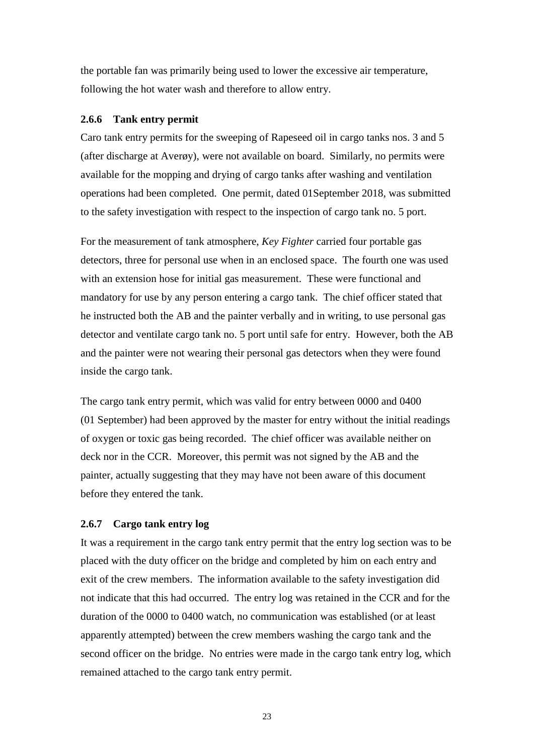the portable fan was primarily being used to lower the excessive air temperature, following the hot water wash and therefore to allow entry.

#### <span id="page-29-0"></span>**2.6.6 Tank entry permit**

Caro tank entry permits for the sweeping of Rapeseed oil in cargo tanks nos. 3 and 5 (after discharge at Averøy), were not available on board. Similarly, no permits were available for the mopping and drying of cargo tanks after washing and ventilation operations had been completed. One permit, dated 01September 2018, was submitted to the safety investigation with respect to the inspection of cargo tank no. 5 port.

For the measurement of tank atmosphere, *Key Fighter* carried four portable gas detectors, three for personal use when in an enclosed space. The fourth one was used with an extension hose for initial gas measurement. These were functional and mandatory for use by any person entering a cargo tank. The chief officer stated that he instructed both the AB and the painter verbally and in writing, to use personal gas detector and ventilate cargo tank no. 5 port until safe for entry. However, both the AB and the painter were not wearing their personal gas detectors when they were found inside the cargo tank.

The cargo tank entry permit, which was valid for entry between 0000 and 0400 (01 September) had been approved by the master for entry without the initial readings of oxygen or toxic gas being recorded. The chief officer was available neither on deck nor in the CCR. Moreover, this permit was not signed by the AB and the painter, actually suggesting that they may have not been aware of this document before they entered the tank.

#### <span id="page-29-1"></span>**2.6.7 Cargo tank entry log**

It was a requirement in the cargo tank entry permit that the entry log section was to be placed with the duty officer on the bridge and completed by him on each entry and exit of the crew members. The information available to the safety investigation did not indicate that this had occurred. The entry log was retained in the CCR and for the duration of the 0000 to 0400 watch, no communication was established (or at least apparently attempted) between the crew members washing the cargo tank and the second officer on the bridge. No entries were made in the cargo tank entry log, which remained attached to the cargo tank entry permit.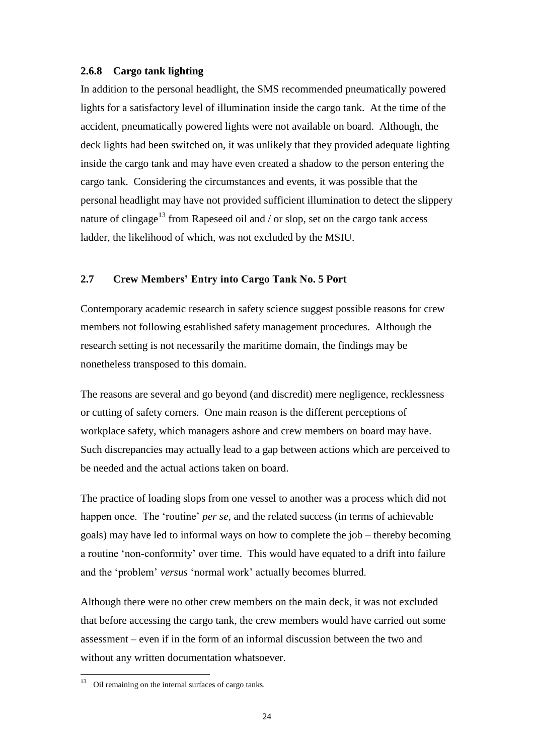### <span id="page-30-0"></span>**2.6.8 Cargo tank lighting**

In addition to the personal headlight, the SMS recommended pneumatically powered lights for a satisfactory level of illumination inside the cargo tank. At the time of the accident, pneumatically powered lights were not available on board. Although, the deck lights had been switched on, it was unlikely that they provided adequate lighting inside the cargo tank and may have even created a shadow to the person entering the cargo tank. Considering the circumstances and events, it was possible that the personal headlight may have not provided sufficient illumination to detect the slippery nature of clingage<sup>13</sup> from Rapeseed oil and / or slop, set on the cargo tank access ladder, the likelihood of which, was not excluded by the MSIU.

# <span id="page-30-1"></span>**2.7 Crew Members' Entry into Cargo Tank No. 5 Port**

Contemporary academic research in safety science suggest possible reasons for crew members not following established safety management procedures. Although the research setting is not necessarily the maritime domain, the findings may be nonetheless transposed to this domain.

The reasons are several and go beyond (and discredit) mere negligence, recklessness or cutting of safety corners. One main reason is the different perceptions of workplace safety, which managers ashore and crew members on board may have. Such discrepancies may actually lead to a gap between actions which are perceived to be needed and the actual actions taken on board.

The practice of loading slops from one vessel to another was a process which did not happen once. The 'routine' *per se*, and the related success (in terms of achievable goals) may have led to informal ways on how to complete the job – thereby becoming a routine 'non-conformity' over time. This would have equated to a drift into failure and the 'problem' *versus* 'normal work' actually becomes blurred.

Although there were no other crew members on the main deck, it was not excluded that before accessing the cargo tank, the crew members would have carried out some assessment – even if in the form of an informal discussion between the two and without any written documentation whatsoever.

 $\overline{a}$ 

 $13$  Oil remaining on the internal surfaces of cargo tanks.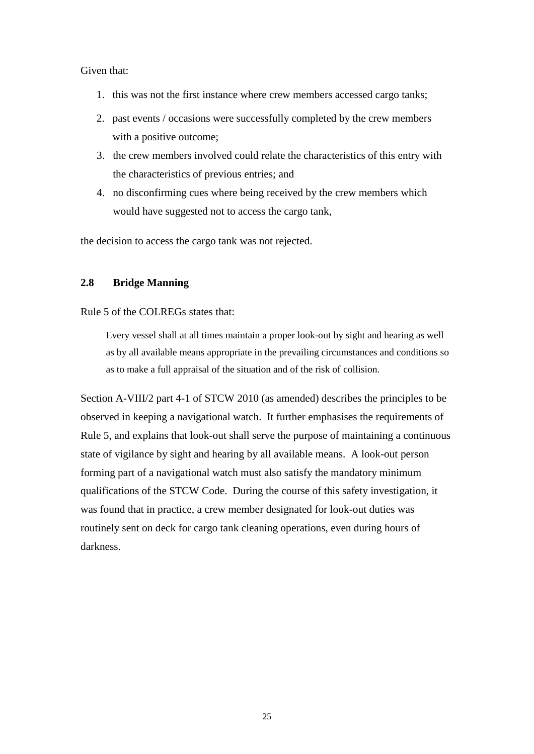### Given that:

- 1. this was not the first instance where crew members accessed cargo tanks;
- 2. past events / occasions were successfully completed by the crew members with a positive outcome;
- 3. the crew members involved could relate the characteristics of this entry with the characteristics of previous entries; and
- 4. no disconfirming cues where being received by the crew members which would have suggested not to access the cargo tank,

the decision to access the cargo tank was not rejected.

# <span id="page-31-0"></span>**2.8 Bridge Manning**

### Rule 5 of the COLREGs states that:

Every vessel shall at all times maintain a proper look-out by sight and hearing as well as by all available means appropriate in the prevailing circumstances and conditions so as to make a full appraisal of the situation and of the risk of collision.

Section A-VIII/2 part 4-1 of STCW 2010 (as amended) describes the principles to be observed in keeping a navigational watch. It further emphasises the requirements of Rule 5, and explains that look-out shall serve the purpose of maintaining a continuous state of vigilance by sight and hearing by all available means. A look-out person forming part of a navigational watch must also satisfy the mandatory minimum qualifications of the STCW Code. During the course of this safety investigation, it was found that in practice, a crew member designated for look-out duties was routinely sent on deck for cargo tank cleaning operations, even during hours of darkness.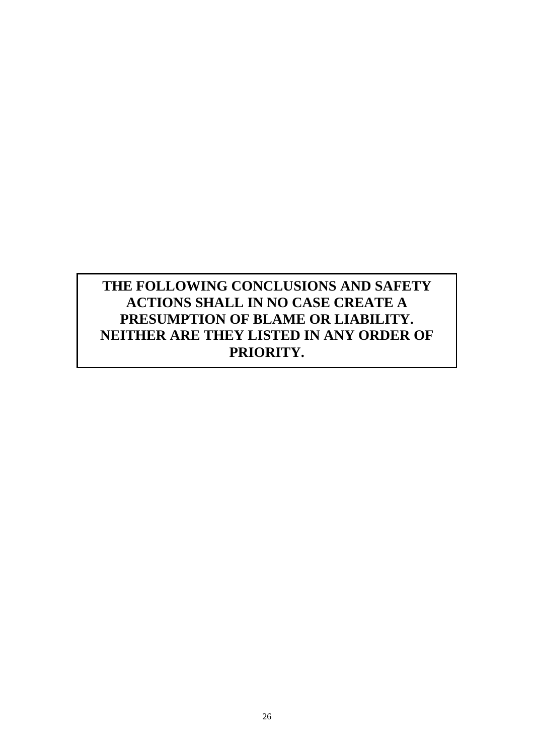# **THE FOLLOWING CONCLUSIONS AND SAFETY ACTIONS SHALL IN NO CASE CREATE A PRESUMPTION OF BLAME OR LIABILITY. NEITHER ARE THEY LISTED IN ANY ORDER OF PRIORITY.**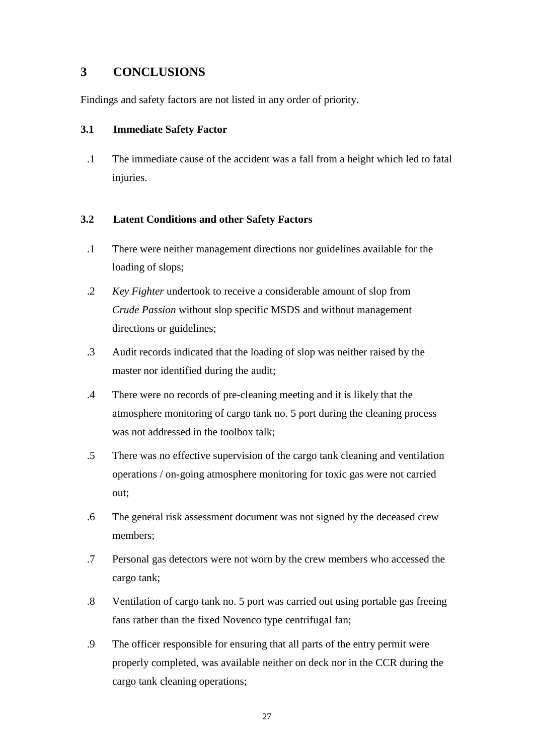# <span id="page-33-0"></span>**3 CONCLUSIONS**

Findings and safety factors are not listed in any order of priority.

# <span id="page-33-1"></span>**3.1 Immediate Safety Factor**

.1 The immediate cause of the accident was a fall from a height which led to fatal injuries.

# <span id="page-33-2"></span>**3.2 Latent Conditions and other Safety Factors**

- .1 There were neither management directions nor guidelines available for the loading of slops;
- .2 *Key Fighter* undertook to receive a considerable amount of slop from *Crude Passion* without slop specific MSDS and without management directions or guidelines;
- .3 Audit records indicated that the loading of slop was neither raised by the master nor identified during the audit;
- .4 There were no records of pre-cleaning meeting and it is likely that the atmosphere monitoring of cargo tank no. 5 port during the cleaning process was not addressed in the toolbox talk;
- .5 There was no effective supervision of the cargo tank cleaning and ventilation operations / on-going atmosphere monitoring for toxic gas were not carried out;
- .6 The general risk assessment document was not signed by the deceased crew members;
- .7 Personal gas detectors were not worn by the crew members who accessed the cargo tank;
- .8 Ventilation of cargo tank no. 5 port was carried out using portable gas freeing fans rather than the fixed Novenco type centrifugal fan;
- .9 The officer responsible for ensuring that all parts of the entry permit were properly completed, was available neither on deck nor in the CCR during the cargo tank cleaning operations;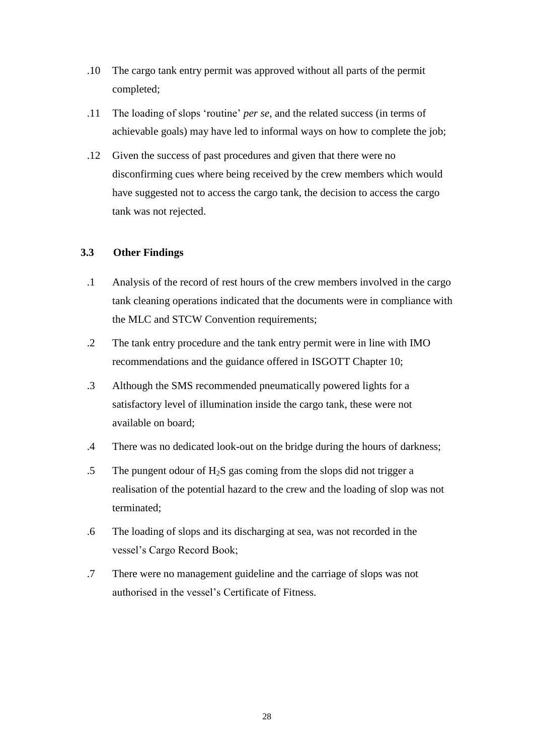- .10 The cargo tank entry permit was approved without all parts of the permit completed;
- .11 The loading of slops 'routine' *per se*, and the related success (in terms of achievable goals) may have led to informal ways on how to complete the job;
- .12 Given the success of past procedures and given that there were no disconfirming cues where being received by the crew members which would have suggested not to access the cargo tank, the decision to access the cargo tank was not rejected.

# <span id="page-34-0"></span>**3.3 Other Findings**

- .1 Analysis of the record of rest hours of the crew members involved in the cargo tank cleaning operations indicated that the documents were in compliance with the MLC and STCW Convention requirements;
- .2 The tank entry procedure and the tank entry permit were in line with IMO recommendations and the guidance offered in ISGOTT Chapter 10;
- .3 Although the SMS recommended pneumatically powered lights for a satisfactory level of illumination inside the cargo tank, these were not available on board;
- .4 There was no dedicated look-out on the bridge during the hours of darkness;
- .5 The pungent odour of  $H_2S$  gas coming from the slops did not trigger a realisation of the potential hazard to the crew and the loading of slop was not terminated;
- .6 The loading of slops and its discharging at sea, was not recorded in the vessel's Cargo Record Book;
- .7 There were no management guideline and the carriage of slops was not authorised in the vessel's Certificate of Fitness.